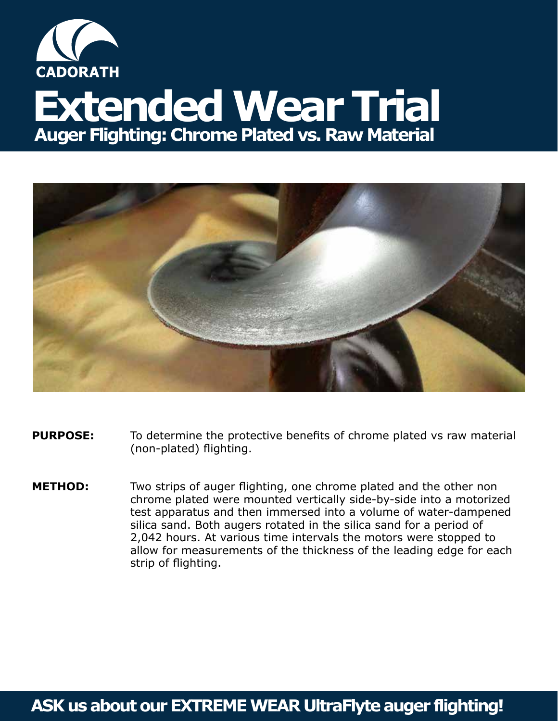

## **Extended Wear Trial Auger Flighting: Chrome Plated vs. Raw Material**



- **PURPOSE:** To determine the protective benefits of chrome plated vs raw material (non-plated) flighting.
- **METHOD:** Two strips of auger flighting, one chrome plated and the other non chrome plated were mounted vertically side-by-side into a motorized test apparatus and then immersed into a volume of water-dampened silica sand. Both augers rotated in the silica sand for a period of 2,042 hours. At various time intervals the motors were stopped to allow for measurements of the thickness of the leading edge for each strip of flighting.

## **ASK us about our EXTREME WEAR UltraFlyte auger flighting!**